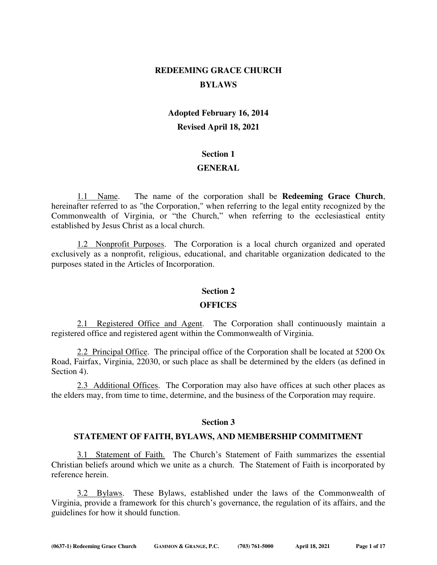# **REDEEMING GRACE CHURCH BYLAWS**

# **Adopted February 16, 2014 Revised April 18, 2021**

## **Section 1**

# **GENERAL**

 1.1 Name. The name of the corporation shall be **Redeeming Grace Church**, hereinafter referred to as "the Corporation," when referring to the legal entity recognized by the Commonwealth of Virginia, or "the Church," when referring to the ecclesiastical entity established by Jesus Christ as a local church.

 1.2 Nonprofit Purposes. The Corporation is a local church organized and operated exclusively as a nonprofit, religious, educational, and charitable organization dedicated to the purposes stated in the Articles of Incorporation.

# **Section 2**

#### **OFFICES**

 2.1 Registered Office and Agent. The Corporation shall continuously maintain a registered office and registered agent within the Commonwealth of Virginia.

 2.2 Principal Office. The principal office of the Corporation shall be located at 5200 Ox Road, Fairfax, Virginia, 22030, or such place as shall be determined by the elders (as defined in Section 4).

 2.3 Additional Offices. The Corporation may also have offices at such other places as the elders may, from time to time, determine, and the business of the Corporation may require.

# **Section 3**

# **STATEMENT OF FAITH, BYLAWS, AND MEMBERSHIP COMMITMENT**

 3.1 Statement of Faith. The Church's Statement of Faith summarizes the essential Christian beliefs around which we unite as a church. The Statement of Faith is incorporated by reference herein.

 3.2 Bylaws. These Bylaws, established under the laws of the Commonwealth of Virginia, provide a framework for this church's governance, the regulation of its affairs, and the guidelines for how it should function.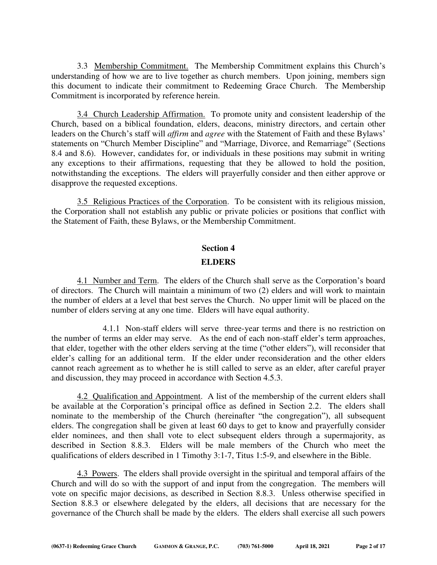3.3 Membership Commitment. The Membership Commitment explains this Church's understanding of how we are to live together as church members. Upon joining, members sign this document to indicate their commitment to Redeeming Grace Church. The Membership Commitment is incorporated by reference herein.

 3.4 Church Leadership Affirmation. To promote unity and consistent leadership of the Church, based on a biblical foundation, elders, deacons, ministry directors, and certain other leaders on the Church's staff will *affirm* and *agree* with the Statement of Faith and these Bylaws' statements on "Church Member Discipline" and "Marriage, Divorce, and Remarriage" (Sections 8.4 and 8.6). However, candidates for, or individuals in these positions may submit in writing any exceptions to their affirmations, requesting that they be allowed to hold the position, notwithstanding the exceptions. The elders will prayerfully consider and then either approve or disapprove the requested exceptions.

 3.5 Religious Practices of the Corporation. To be consistent with its religious mission, the Corporation shall not establish any public or private policies or positions that conflict with the Statement of Faith, these Bylaws, or the Membership Commitment.

## **Section 4**

## **ELDERS**

 4.1 Number and Term. The elders of the Church shall serve as the Corporation's board of directors. The Church will maintain a minimum of two (2) elders and will work to maintain the number of elders at a level that best serves the Church. No upper limit will be placed on the number of elders serving at any one time. Elders will have equal authority.

4.1.1 Non-staff elders will serve three-year terms and there is no restriction on the number of terms an elder may serve. As the end of each non-staff elder's term approaches, that elder, together with the other elders serving at the time ("other elders"), will reconsider that elder's calling for an additional term. If the elder under reconsideration and the other elders cannot reach agreement as to whether he is still called to serve as an elder, after careful prayer and discussion, they may proceed in accordance with Section 4.5.3.

 4.2 Qualification and Appointment. A list of the membership of the current elders shall be available at the Corporation's principal office as defined in Section 2.2. The elders shall nominate to the membership of the Church (hereinafter "the congregation"), all subsequent elders. The congregation shall be given at least 60 days to get to know and prayerfully consider elder nominees, and then shall vote to elect subsequent elders through a supermajority, as described in Section 8.8.3. Elders will be male members of the Church who meet the qualifications of elders described in 1 Timothy 3:1-7, Titus 1:5-9, and elsewhere in the Bible.

4.3 Powers. The elders shall provide oversight in the spiritual and temporal affairs of the Church and will do so with the support of and input from the congregation. The members will vote on specific major decisions, as described in Section 8.8.3. Unless otherwise specified in Section 8.8.3 or elsewhere delegated by the elders, all decisions that are necessary for the governance of the Church shall be made by the elders. The elders shall exercise all such powers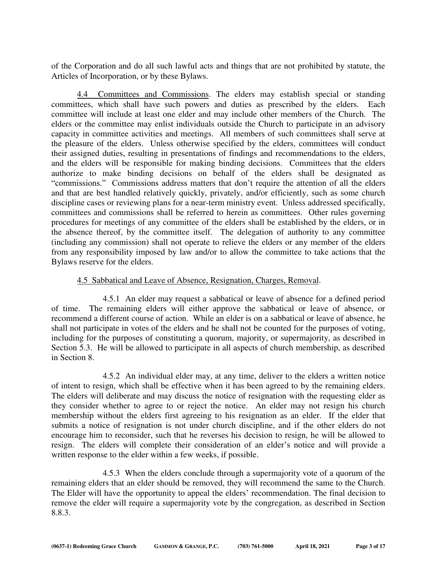of the Corporation and do all such lawful acts and things that are not prohibited by statute, the Articles of Incorporation, or by these Bylaws.

 4.4 Committees and Commissions. The elders may establish special or standing committees, which shall have such powers and duties as prescribed by the elders. Each committee will include at least one elder and may include other members of the Church. The elders or the committee may enlist individuals outside the Church to participate in an advisory capacity in committee activities and meetings. All members of such committees shall serve at the pleasure of the elders. Unless otherwise specified by the elders, committees will conduct their assigned duties, resulting in presentations of findings and recommendations to the elders, and the elders will be responsible for making binding decisions. Committees that the elders authorize to make binding decisions on behalf of the elders shall be designated as "commissions." Commissions address matters that don't require the attention of all the elders and that are best handled relatively quickly, privately, and/or efficiently, such as some church discipline cases or reviewing plans for a near-term ministry event. Unless addressed specifically, committees and commissions shall be referred to herein as committees. Other rules governing procedures for meetings of any committee of the elders shall be established by the elders, or in the absence thereof, by the committee itself. The delegation of authority to any committee (including any commission) shall not operate to relieve the elders or any member of the elders from any responsibility imposed by law and/or to allow the committee to take actions that the Bylaws reserve for the elders.

# 4.5 Sabbatical and Leave of Absence, Resignation, Charges, Removal.

4.5.1 An elder may request a sabbatical or leave of absence for a defined period of time. The remaining elders will either approve the sabbatical or leave of absence, or recommend a different course of action. While an elder is on a sabbatical or leave of absence, he shall not participate in votes of the elders and he shall not be counted for the purposes of voting, including for the purposes of constituting a quorum, majority, or supermajority, as described in Section 5.3. He will be allowed to participate in all aspects of church membership, as described in Section 8.

4.5.2 An individual elder may, at any time, deliver to the elders a written notice of intent to resign, which shall be effective when it has been agreed to by the remaining elders. The elders will deliberate and may discuss the notice of resignation with the requesting elder as they consider whether to agree to or reject the notice. An elder may not resign his church membership without the elders first agreeing to his resignation as an elder. If the elder that submits a notice of resignation is not under church discipline, and if the other elders do not encourage him to reconsider, such that he reverses his decision to resign, he will be allowed to resign. The elders will complete their consideration of an elder's notice and will provide a written response to the elder within a few weeks, if possible.

4.5.3 When the elders conclude through a supermajority vote of a quorum of the remaining elders that an elder should be removed, they will recommend the same to the Church. The Elder will have the opportunity to appeal the elders' recommendation. The final decision to remove the elder will require a supermajority vote by the congregation, as described in Section 8.8.3.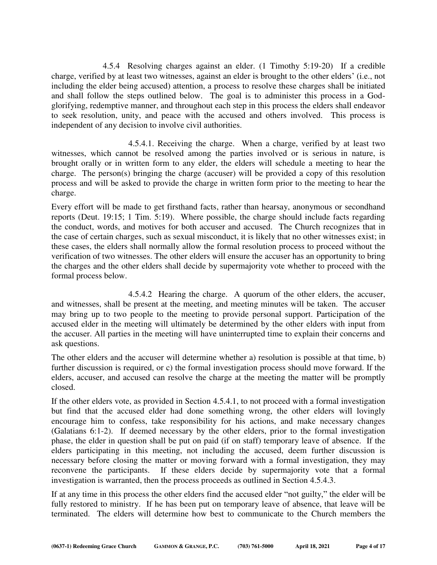4.5.4 Resolving charges against an elder. (1 Timothy 5:19-20) If a credible charge, verified by at least two witnesses, against an elder is brought to the other elders' (i.e., not including the elder being accused) attention, a process to resolve these charges shall be initiated and shall follow the steps outlined below. The goal is to administer this process in a Godglorifying, redemptive manner, and throughout each step in this process the elders shall endeavor to seek resolution, unity, and peace with the accused and others involved. This process is independent of any decision to involve civil authorities.

4.5.4.1. Receiving the charge. When a charge, verified by at least two witnesses, which cannot be resolved among the parties involved or is serious in nature, is brought orally or in written form to any elder, the elders will schedule a meeting to hear the charge. The person(s) bringing the charge (accuser) will be provided a copy of this resolution process and will be asked to provide the charge in written form prior to the meeting to hear the charge.

Every effort will be made to get firsthand facts, rather than hearsay, anonymous or secondhand reports (Deut. 19:15; 1 Tim. 5:19). Where possible, the charge should include facts regarding the conduct, words, and motives for both accuser and accused. The Church recognizes that in the case of certain charges, such as sexual misconduct, it is likely that no other witnesses exist; in these cases, the elders shall normally allow the formal resolution process to proceed without the verification of two witnesses. The other elders will ensure the accuser has an opportunity to bring the charges and the other elders shall decide by supermajority vote whether to proceed with the formal process below.

4.5.4.2 Hearing the charge. A quorum of the other elders, the accuser, and witnesses, shall be present at the meeting, and meeting minutes will be taken. The accuser may bring up to two people to the meeting to provide personal support. Participation of the accused elder in the meeting will ultimately be determined by the other elders with input from the accuser. All parties in the meeting will have uninterrupted time to explain their concerns and ask questions.

The other elders and the accuser will determine whether a) resolution is possible at that time, b) further discussion is required, or c) the formal investigation process should move forward. If the elders, accuser, and accused can resolve the charge at the meeting the matter will be promptly closed.

If the other elders vote, as provided in Section 4.5.4.1, to not proceed with a formal investigation but find that the accused elder had done something wrong, the other elders will lovingly encourage him to confess, take responsibility for his actions, and make necessary changes (Galatians 6:1-2). If deemed necessary by the other elders, prior to the formal investigation phase, the elder in question shall be put on paid (if on staff) temporary leave of absence. If the elders participating in this meeting, not including the accused, deem further discussion is necessary before closing the matter or moving forward with a formal investigation, they may reconvene the participants. If these elders decide by supermajority vote that a formal investigation is warranted, then the process proceeds as outlined in Section 4.5.4.3.

If at any time in this process the other elders find the accused elder "not guilty," the elder will be fully restored to ministry. If he has been put on temporary leave of absence, that leave will be terminated. The elders will determine how best to communicate to the Church members the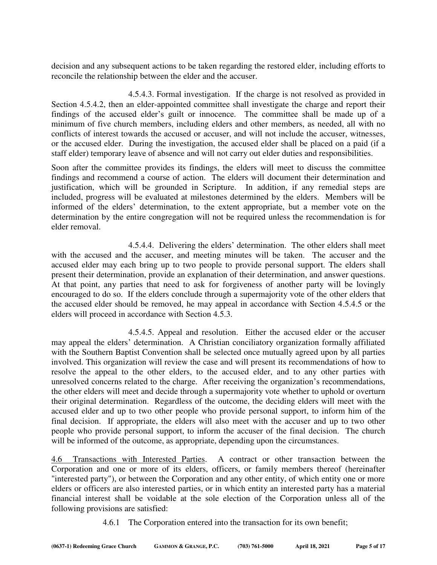decision and any subsequent actions to be taken regarding the restored elder, including efforts to reconcile the relationship between the elder and the accuser.

4.5.4.3. Formal investigation. If the charge is not resolved as provided in Section 4.5.4.2, then an elder-appointed committee shall investigate the charge and report their findings of the accused elder's guilt or innocence. The committee shall be made up of a minimum of five church members, including elders and other members, as needed, all with no conflicts of interest towards the accused or accuser, and will not include the accuser, witnesses, or the accused elder. During the investigation, the accused elder shall be placed on a paid (if a staff elder) temporary leave of absence and will not carry out elder duties and responsibilities.

Soon after the committee provides its findings, the elders will meet to discuss the committee findings and recommend a course of action. The elders will document their determination and justification, which will be grounded in Scripture. In addition, if any remedial steps are included, progress will be evaluated at milestones determined by the elders. Members will be informed of the elders' determination, to the extent appropriate, but a member vote on the determination by the entire congregation will not be required unless the recommendation is for elder removal.

4.5.4.4. Delivering the elders' determination. The other elders shall meet with the accused and the accuser, and meeting minutes will be taken. The accuser and the accused elder may each bring up to two people to provide personal support. The elders shall present their determination, provide an explanation of their determination, and answer questions. At that point, any parties that need to ask for forgiveness of another party will be lovingly encouraged to do so. If the elders conclude through a supermajority vote of the other elders that the accused elder should be removed, he may appeal in accordance with Section 4.5.4.5 or the elders will proceed in accordance with Section 4.5.3.

4.5.4.5. Appeal and resolution. Either the accused elder or the accuser may appeal the elders' determination. A Christian conciliatory organization formally affiliated with the Southern Baptist Convention shall be selected once mutually agreed upon by all parties involved. This organization will review the case and will present its recommendations of how to resolve the appeal to the other elders, to the accused elder, and to any other parties with unresolved concerns related to the charge. After receiving the organization's recommendations, the other elders will meet and decide through a supermajority vote whether to uphold or overturn their original determination. Regardless of the outcome, the deciding elders will meet with the accused elder and up to two other people who provide personal support, to inform him of the final decision. If appropriate, the elders will also meet with the accuser and up to two other people who provide personal support, to inform the accuser of the final decision. The church will be informed of the outcome, as appropriate, depending upon the circumstances.

4.6 Transactions with Interested Parties. A contract or other transaction between the Corporation and one or more of its elders, officers, or family members thereof (hereinafter "interested party"), or between the Corporation and any other entity, of which entity one or more elders or officers are also interested parties, or in which entity an interested party has a material financial interest shall be voidable at the sole election of the Corporation unless all of the following provisions are satisfied:

4.6.1 The Corporation entered into the transaction for its own benefit;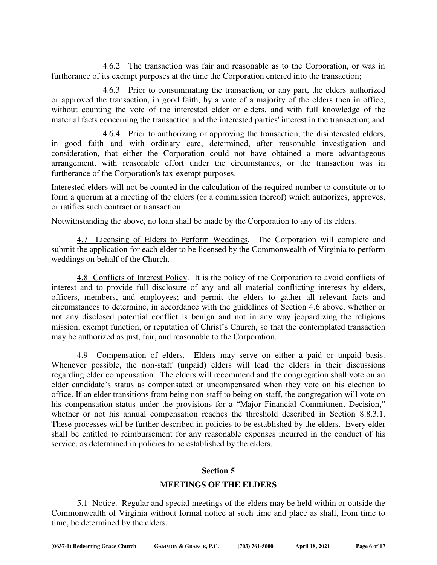4.6.2 The transaction was fair and reasonable as to the Corporation, or was in furtherance of its exempt purposes at the time the Corporation entered into the transaction;

 4.6.3 Prior to consummating the transaction, or any part, the elders authorized or approved the transaction, in good faith, by a vote of a majority of the elders then in office, without counting the vote of the interested elder or elders, and with full knowledge of the material facts concerning the transaction and the interested parties' interest in the transaction; and

 4.6.4 Prior to authorizing or approving the transaction, the disinterested elders, in good faith and with ordinary care, determined, after reasonable investigation and consideration, that either the Corporation could not have obtained a more advantageous arrangement, with reasonable effort under the circumstances, or the transaction was in furtherance of the Corporation's tax-exempt purposes.

Interested elders will not be counted in the calculation of the required number to constitute or to form a quorum at a meeting of the elders (or a commission thereof) which authorizes, approves, or ratifies such contract or transaction.

Notwithstanding the above, no loan shall be made by the Corporation to any of its elders.

 4.7 Licensing of Elders to Perform Weddings. The Corporation will complete and submit the application for each elder to be licensed by the Commonwealth of Virginia to perform weddings on behalf of the Church.

4.8 Conflicts of Interest Policy. It is the policy of the Corporation to avoid conflicts of interest and to provide full disclosure of any and all material conflicting interests by elders, officers, members, and employees; and permit the elders to gather all relevant facts and circumstances to determine, in accordance with the guidelines of Section 4.6 above, whether or not any disclosed potential conflict is benign and not in any way jeopardizing the religious mission, exempt function, or reputation of Christ's Church, so that the contemplated transaction may be authorized as just, fair, and reasonable to the Corporation.

 4.9 Compensation of elders. Elders may serve on either a paid or unpaid basis. Whenever possible, the non-staff (unpaid) elders will lead the elders in their discussions regarding elder compensation. The elders will recommend and the congregation shall vote on an elder candidate's status as compensated or uncompensated when they vote on his election to office. If an elder transitions from being non-staff to being on-staff, the congregation will vote on his compensation status under the provisions for a "Major Financial Commitment Decision," whether or not his annual compensation reaches the threshold described in Section 8.8.3.1. These processes will be further described in policies to be established by the elders. Every elder shall be entitled to reimbursement for any reasonable expenses incurred in the conduct of his service, as determined in policies to be established by the elders.

#### **Section 5**

# **MEETINGS OF THE ELDERS**

 5.1 Notice. Regular and special meetings of the elders may be held within or outside the Commonwealth of Virginia without formal notice at such time and place as shall, from time to time, be determined by the elders.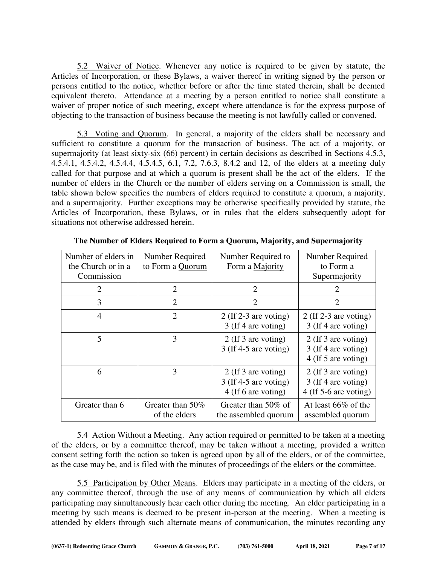5.2 Waiver of Notice. Whenever any notice is required to be given by statute, the Articles of Incorporation, or these Bylaws, a waiver thereof in writing signed by the person or persons entitled to the notice, whether before or after the time stated therein, shall be deemed equivalent thereto. Attendance at a meeting by a person entitled to notice shall constitute a waiver of proper notice of such meeting, except where attendance is for the express purpose of objecting to the transaction of business because the meeting is not lawfully called or convened.

 5.3 Voting and Quorum. In general, a majority of the elders shall be necessary and sufficient to constitute a quorum for the transaction of business. The act of a majority, or supermajority (at least sixty-six (66) percent) in certain decisions as described in Sections 4.5.3, 4.5.4.1, 4.5.4.2, 4.5.4.4, 4.5.4.5, 6.1, 7.2, 7.6.3, 8.4.2 and 12, of the elders at a meeting duly called for that purpose and at which a quorum is present shall be the act of the elders. If the number of elders in the Church or the number of elders serving on a Commission is small, the table shown below specifies the numbers of elders required to constitute a quorum, a majority, and a supermajority. Further exceptions may be otherwise specifically provided by statute, the Articles of Incorporation, these Bylaws, or in rules that the elders subsequently adopt for situations not otherwise addressed herein.

| Number of elders in<br>the Church or in a<br>Commission | Number Required<br>to Form a Quorum | Number Required to<br>Form a Majority                                   | Number Required<br>to Form a<br>Supermajority                         |
|---------------------------------------------------------|-------------------------------------|-------------------------------------------------------------------------|-----------------------------------------------------------------------|
| 2                                                       | $\overline{2}$                      | $\overline{2}$                                                          | $\overline{2}$                                                        |
| 3                                                       | 2                                   | $\mathfrak{D}$                                                          | 2                                                                     |
| 4                                                       | 2                                   | 2 (If $2-3$ are voting)<br>3 (If 4 are voting)                          | 2 (If $2-3$ are voting)<br>3 (If 4 are voting)                        |
| 5                                                       | 3                                   | 2 (If 3 are voting)<br>$3$ (If 4-5 are voting)                          | 2 (If 3 are voting)<br>3 (If 4 are voting)<br>4 (If 5 are voting)     |
| 6                                                       | 3                                   | $2$ (If 3 are voting)<br>$3$ (If 4-5 are voting)<br>4 (If 6 are voting) | 2 (If 3 are voting)<br>3 (If 4 are voting)<br>$4$ (If 5-6 are voting) |
| Greater than 6                                          | Greater than 50%<br>of the elders   | Greater than $50\%$ of<br>the assembled quorum                          | At least $66\%$ of the<br>assembled quorum                            |

**The Number of Elders Required to Form a Quorum, Majority, and Supermajority**

 5.4 Action Without a Meeting. Any action required or permitted to be taken at a meeting of the elders, or by a committee thereof, may be taken without a meeting, provided a written consent setting forth the action so taken is agreed upon by all of the elders, or of the committee, as the case may be, and is filed with the minutes of proceedings of the elders or the committee.

 5.5 Participation by Other Means. Elders may participate in a meeting of the elders, or any committee thereof, through the use of any means of communication by which all elders participating may simultaneously hear each other during the meeting. An elder participating in a meeting by such means is deemed to be present in-person at the meeting. When a meeting is attended by elders through such alternate means of communication, the minutes recording any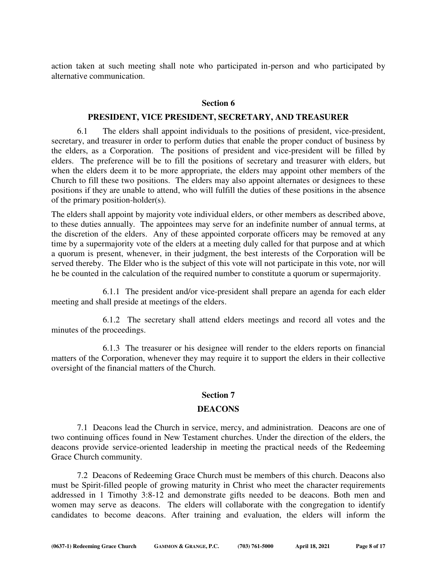action taken at such meeting shall note who participated in-person and who participated by alternative communication.

#### **Section 6**

# **PRESIDENT, VICE PRESIDENT, SECRETARY, AND TREASURER**

 6.1 The elders shall appoint individuals to the positions of president, vice-president, secretary, and treasurer in order to perform duties that enable the proper conduct of business by the elders, as a Corporation. The positions of president and vice-president will be filled by elders. The preference will be to fill the positions of secretary and treasurer with elders, but when the elders deem it to be more appropriate, the elders may appoint other members of the Church to fill these two positions. The elders may also appoint alternates or designees to these positions if they are unable to attend, who will fulfill the duties of these positions in the absence of the primary position-holder(s).

The elders shall appoint by majority vote individual elders, or other members as described above, to these duties annually. The appointees may serve for an indefinite number of annual terms, at the discretion of the elders. Any of these appointed corporate officers may be removed at any time by a supermajority vote of the elders at a meeting duly called for that purpose and at which a quorum is present, whenever, in their judgment, the best interests of the Corporation will be served thereby. The Elder who is the subject of this vote will not participate in this vote, nor will he be counted in the calculation of the required number to constitute a quorum or supermajority.

 6.1.1 The president and/or vice-president shall prepare an agenda for each elder meeting and shall preside at meetings of the elders.

6.1.2 The secretary shall attend elders meetings and record all votes and the minutes of the proceedings.

 6.1.3 The treasurer or his designee will render to the elders reports on financial matters of the Corporation, whenever they may require it to support the elders in their collective oversight of the financial matters of the Church.

# **Section 7**

#### **DEACONS**

 7.1 Deacons lead the Church in service, mercy, and administration. Deacons are one of two continuing offices found in New Testament churches. Under the direction of the elders, the deacons provide service-oriented leadership in meeting the practical needs of the Redeeming Grace Church community.

7.2 Deacons of Redeeming Grace Church must be members of this church. Deacons also must be Spirit-filled people of growing maturity in Christ who meet the character requirements addressed in 1 Timothy 3:8-12 and demonstrate gifts needed to be deacons. Both men and women may serve as deacons. The elders will collaborate with the congregation to identify candidates to become deacons. After training and evaluation, the elders will inform the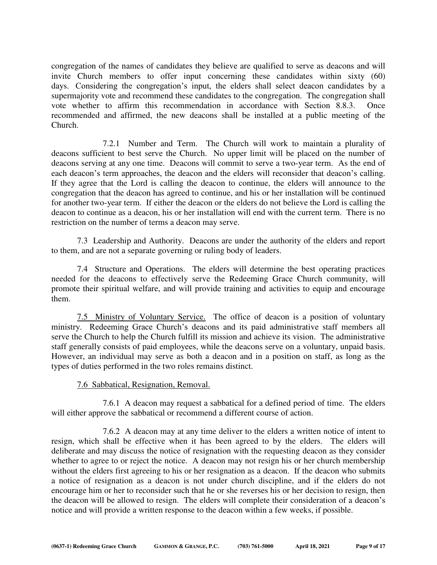congregation of the names of candidates they believe are qualified to serve as deacons and will invite Church members to offer input concerning these candidates within sixty (60) days. Considering the congregation's input, the elders shall select deacon candidates by a supermajority vote and recommend these candidates to the congregation. The congregation shall vote whether to affirm this recommendation in accordance with Section 8.8.3. Once recommended and affirmed, the new deacons shall be installed at a public meeting of the Church.

7.2.1 Number and Term. The Church will work to maintain a plurality of deacons sufficient to best serve the Church. No upper limit will be placed on the number of deacons serving at any one time. Deacons will commit to serve a two-year term. As the end of each deacon's term approaches, the deacon and the elders will reconsider that deacon's calling. If they agree that the Lord is calling the deacon to continue, the elders will announce to the congregation that the deacon has agreed to continue, and his or her installation will be continued for another two-year term. If either the deacon or the elders do not believe the Lord is calling the deacon to continue as a deacon, his or her installation will end with the current term. There is no restriction on the number of terms a deacon may serve.

7.3 Leadership and Authority. Deacons are under the authority of the elders and report to them, and are not a separate governing or ruling body of leaders.

 7.4 Structure and Operations. The elders will determine the best operating practices needed for the deacons to effectively serve the Redeeming Grace Church community, will promote their spiritual welfare, and will provide training and activities to equip and encourage them.

 7.5 Ministry of Voluntary Service. The office of deacon is a position of voluntary ministry. Redeeming Grace Church's deacons and its paid administrative staff members all serve the Church to help the Church fulfill its mission and achieve its vision. The administrative staff generally consists of paid employees, while the deacons serve on a voluntary, unpaid basis. However, an individual may serve as both a deacon and in a position on staff, as long as the types of duties performed in the two roles remains distinct.

# 7.6 Sabbatical, Resignation, Removal.

7.6.1 A deacon may request a sabbatical for a defined period of time. The elders will either approve the sabbatical or recommend a different course of action.

7.6.2 A deacon may at any time deliver to the elders a written notice of intent to resign, which shall be effective when it has been agreed to by the elders. The elders will deliberate and may discuss the notice of resignation with the requesting deacon as they consider whether to agree to or reject the notice. A deacon may not resign his or her church membership without the elders first agreeing to his or her resignation as a deacon. If the deacon who submits a notice of resignation as a deacon is not under church discipline, and if the elders do not encourage him or her to reconsider such that he or she reverses his or her decision to resign, then the deacon will be allowed to resign. The elders will complete their consideration of a deacon's notice and will provide a written response to the deacon within a few weeks, if possible.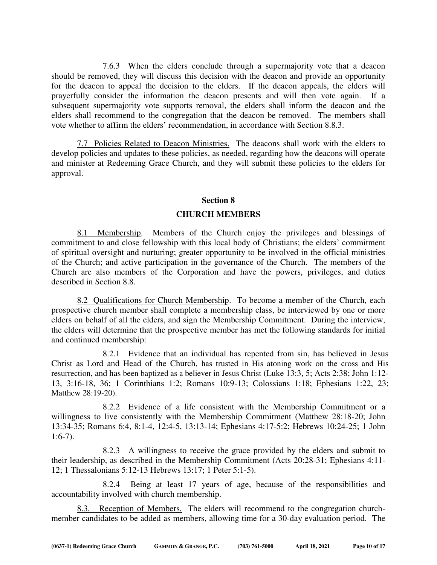7.6.3 When the elders conclude through a supermajority vote that a deacon should be removed, they will discuss this decision with the deacon and provide an opportunity for the deacon to appeal the decision to the elders. If the deacon appeals, the elders will prayerfully consider the information the deacon presents and will then vote again. If a subsequent supermajority vote supports removal, the elders shall inform the deacon and the elders shall recommend to the congregation that the deacon be removed. The members shall vote whether to affirm the elders' recommendation, in accordance with Section 8.8.3.

 7.7 Policies Related to Deacon Ministries. The deacons shall work with the elders to develop policies and updates to these policies, as needed, regarding how the deacons will operate and minister at Redeeming Grace Church, and they will submit these policies to the elders for approval.

## **Section 8**

## **CHURCH MEMBERS**

 8.1 Membership. Members of the Church enjoy the privileges and blessings of commitment to and close fellowship with this local body of Christians; the elders' commitment of spiritual oversight and nurturing; greater opportunity to be involved in the official ministries of the Church; and active participation in the governance of the Church. The members of the Church are also members of the Corporation and have the powers, privileges, and duties described in Section 8.8.

 8.2 Qualifications for Church Membership. To become a member of the Church, each prospective church member shall complete a membership class, be interviewed by one or more elders on behalf of all the elders, and sign the Membership Commitment. During the interview, the elders will determine that the prospective member has met the following standards for initial and continued membership:

 8.2.1 Evidence that an individual has repented from sin, has believed in Jesus Christ as Lord and Head of the Church, has trusted in His atoning work on the cross and His resurrection, and has been baptized as a believer in Jesus Christ (Luke 13:3, 5; Acts 2:38; John 1:12- 13, 3:16-18, 36; 1 Corinthians 1:2; Romans 10:9-13; Colossians 1:18; Ephesians 1:22, 23; Matthew 28:19-20).

 8.2.2 Evidence of a life consistent with the Membership Commitment or a willingness to live consistently with the Membership Commitment (Matthew 28:18-20; John 13:34-35; Romans 6:4, 8:1-4, 12:4-5, 13:13-14; Ephesians 4:17-5:2; Hebrews 10:24-25; 1 John  $1:6-7$ ).

 8.2.3 A willingness to receive the grace provided by the elders and submit to their leadership, as described in the Membership Commitment (Acts 20:28-31; Ephesians 4:11- 12; 1 Thessalonians 5:12-13 Hebrews 13:17; 1 Peter 5:1-5).

 8.2.4 Being at least 17 years of age, because of the responsibilities and accountability involved with church membership.

 8.3. Reception of Members. The elders will recommend to the congregation churchmember candidates to be added as members, allowing time for a 30-day evaluation period. The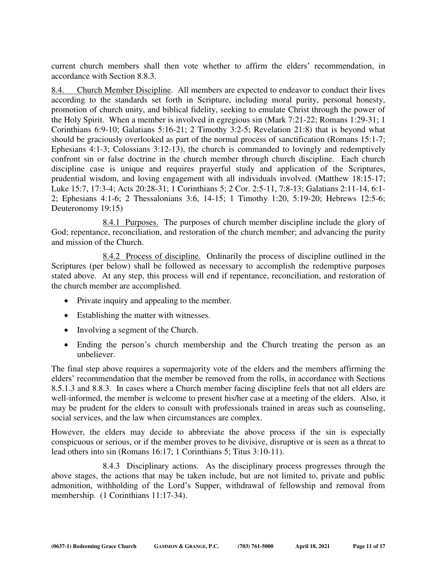current church members shall then vote whether to affirm the elders' recommendation, in accordance with Section 8.8.3.

8.4. Church Member Discipline. All members are expected to endeavor to conduct their lives according to the standards set forth in Scripture, including moral purity, personal honesty, promotion of church unity, and biblical fidelity, seeking to emulate Christ through the power of the Holy Spirit. When a member is involved in egregious sin (Mark 7:21-22; Romans 1:29-31; 1 Corinthians 6:9-10; Galatians 5:16-21; 2 Timothy 3:2-5; Revelation 21:8) that is beyond what should be graciously overlooked as part of the normal process of sanctification (Romans 15:1-7; Ephesians 4:1-3; Colossians 3:12-13), the church is commanded to lovingly and redemptively confront sin or false doctrine in the church member through church discipline. Each church discipline case is unique and requires prayerful study and application of the Scriptures, prudential wisdom, and loving engagement with all individuals involved. (Matthew 18:15-17; Luke 15:7, 17:3-4; Acts 20:28-31; 1 Corinthians 5; 2 Cor. 2:5-11, 7:8-13; Galatians 2:11-14, 6:1- 2; Ephesians 4:1-6; 2 Thessalonians 3:6, 14-15; 1 Timothy 1:20, 5:19-20; Hebrews 12:5-6; Deuteronomy 19:15)

 8.4.1 Purposes. The purposes of church member discipline include the glory of God; repentance, reconciliation, and restoration of the church member; and advancing the purity and mission of the Church.

8.4.2 Process of discipline.Ordinarily the process of discipline outlined in the Scriptures (per below) shall be followed as necessary to accomplish the redemptive purposes stated above. At any step, this process will end if repentance, reconciliation, and restoration of the church member are accomplished.

- Private inquiry and appealing to the member.
- Establishing the matter with witnesses.
- Involving a segment of the Church.
- Ending the person's church membership and the Church treating the person as an unbeliever.

The final step above requires a supermajority vote of the elders and the members affirming the elders' recommendation that the member be removed from the rolls, in accordance with Sections 8.5.1.3 and 8.8.3. In cases where a Church member facing discipline feels that not all elders are well-informed, the member is welcome to present his/her case at a meeting of the elders. Also, it may be prudent for the elders to consult with professionals trained in areas such as counseling, social services, and the law when circumstances are complex.

However, the elders may decide to abbreviate the above process if the sin is especially conspicuous or serious, or if the member proves to be divisive, disruptive or is seen as a threat to lead others into sin (Romans 16:17; 1 Corinthians 5; Titus 3:10-11).

 8.4.3 Disciplinary actions. As the disciplinary process progresses through the above stages, the actions that may be taken include, but are not limited to, private and public admonition, withholding of the Lord's Supper, withdrawal of fellowship and removal from membership. (1 Corinthians 11:17-34).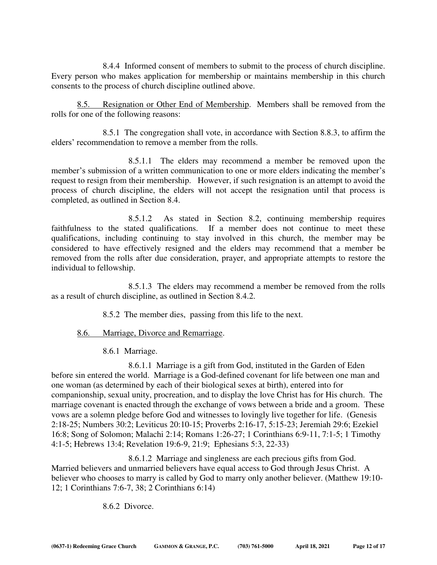8.4.4 Informed consent of members to submit to the process of church discipline. Every person who makes application for membership or maintains membership in this church consents to the process of church discipline outlined above.

 8.5. Resignation or Other End of Membership. Members shall be removed from the rolls for one of the following reasons:

8.5.1 The congregation shall vote, in accordance with Section 8.8.3, to affirm the elders' recommendation to remove a member from the rolls.

8.5.1.1 The elders may recommend a member be removed upon the member's submission of a written communication to one or more elders indicating the member's request to resign from their membership. However, if such resignation is an attempt to avoid the process of church discipline, the elders will not accept the resignation until that process is completed, as outlined in Section 8.4.

8.5.1.2 As stated in Section 8.2, continuing membership requires faithfulness to the stated qualifications. If a member does not continue to meet these qualifications, including continuing to stay involved in this church, the member may be considered to have effectively resigned and the elders may recommend that a member be removed from the rolls after due consideration, prayer, and appropriate attempts to restore the individual to fellowship.

8.5.1.3 The elders may recommend a member be removed from the rolls as a result of church discipline, as outlined in Section 8.4.2.

8.5.2 The member dies, passing from this life to the next.

# 8.6. Marriage, Divorce and Remarriage.

8.6.1 Marriage.

 8.6.1.1 Marriage is a gift from God, instituted in the Garden of Eden before sin entered the world. Marriage is a God-defined covenant for life between one man and one woman (as determined by each of their biological sexes at birth), entered into for companionship, sexual unity, procreation, and to display the love Christ has for His church. The marriage covenant is enacted through the exchange of vows between a bride and a groom. These vows are a solemn pledge before God and witnesses to lovingly live together for life. (Genesis 2:18-25; Numbers 30:2; Leviticus 20:10-15; Proverbs 2:16-17, 5:15-23; Jeremiah 29:6; Ezekiel 16:8; Song of Solomon; Malachi 2:14; Romans 1:26-27; 1 Corinthians 6:9-11, 7:1-5; 1 Timothy 4:1-5; Hebrews 13:4; Revelation 19:6-9, 21:9; Ephesians 5:3, 22-33)

 8.6.1.2 Marriage and singleness are each precious gifts from God. Married believers and unmarried believers have equal access to God through Jesus Christ. A believer who chooses to marry is called by God to marry only another believer. (Matthew 19:10- 12; 1 Corinthians 7:6-7, 38; 2 Corinthians 6:14)

8.6.2 Divorce.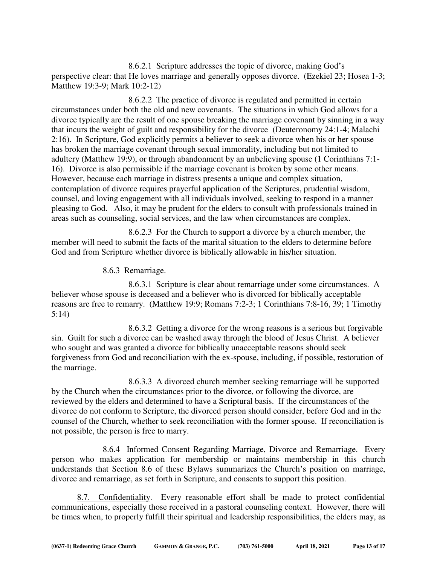8.6.2.1 Scripture addresses the topic of divorce, making God's perspective clear: that He loves marriage and generally opposes divorce. (Ezekiel 23; Hosea 1-3; Matthew 19:3-9; Mark 10:2-12)

 8.6.2.2 The practice of divorce is regulated and permitted in certain circumstances under both the old and new covenants. The situations in which God allows for a divorce typically are the result of one spouse breaking the marriage covenant by sinning in a way that incurs the weight of guilt and responsibility for the divorce (Deuteronomy 24:1-4; Malachi 2:16). In Scripture, God explicitly permits a believer to seek a divorce when his or her spouse has broken the marriage covenant through sexual immorality, including but not limited to adultery (Matthew 19:9), or through abandonment by an unbelieving spouse (1 Corinthians 7:1- 16). Divorce is also permissible if the marriage covenant is broken by some other means. However, because each marriage in distress presents a unique and complex situation, contemplation of divorce requires prayerful application of the Scriptures, prudential wisdom, counsel, and loving engagement with all individuals involved, seeking to respond in a manner pleasing to God. Also, it may be prudent for the elders to consult with professionals trained in areas such as counseling, social services, and the law when circumstances are complex.

 8.6.2.3 For the Church to support a divorce by a church member, the member will need to submit the facts of the marital situation to the elders to determine before God and from Scripture whether divorce is biblically allowable in his/her situation.

8.6.3 Remarriage.

 8.6.3.1 Scripture is clear about remarriage under some circumstances. A believer whose spouse is deceased and a believer who is divorced for biblically acceptable reasons are free to remarry. (Matthew 19:9; Romans 7:2-3; 1 Corinthians 7:8-16, 39; 1 Timothy 5:14)

 8.6.3.2 Getting a divorce for the wrong reasons is a serious but forgivable sin. Guilt for such a divorce can be washed away through the blood of Jesus Christ. A believer who sought and was granted a divorce for biblically unacceptable reasons should seek forgiveness from God and reconciliation with the ex-spouse, including, if possible, restoration of the marriage.

 8.6.3.3 A divorced church member seeking remarriage will be supported by the Church when the circumstances prior to the divorce, or following the divorce, are reviewed by the elders and determined to have a Scriptural basis. If the circumstances of the divorce do not conform to Scripture, the divorced person should consider, before God and in the counsel of the Church, whether to seek reconciliation with the former spouse. If reconciliation is not possible, the person is free to marry.

 8.6.4 Informed Consent Regarding Marriage, Divorce and Remarriage. Every person who makes application for membership or maintains membership in this church understands that Section 8.6 of these Bylaws summarizes the Church's position on marriage, divorce and remarriage, as set forth in Scripture, and consents to support this position.

 8.7. Confidentiality. Every reasonable effort shall be made to protect confidential communications, especially those received in a pastoral counseling context. However, there will be times when, to properly fulfill their spiritual and leadership responsibilities, the elders may, as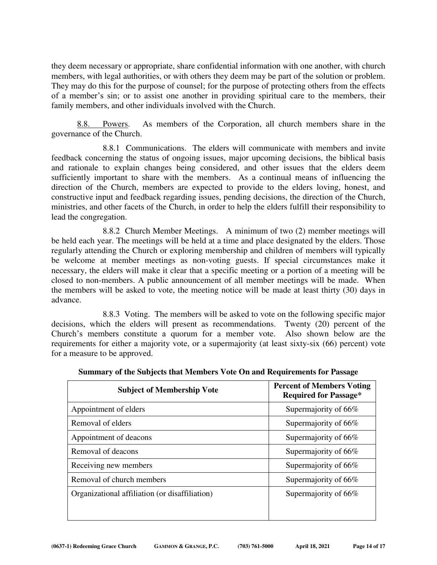they deem necessary or appropriate, share confidential information with one another, with church members, with legal authorities, or with others they deem may be part of the solution or problem. They may do this for the purpose of counsel; for the purpose of protecting others from the effects of a member's sin; or to assist one another in providing spiritual care to the members, their family members, and other individuals involved with the Church.

 8.8. Powers. As members of the Corporation, all church members share in the governance of the Church.

 8.8.1 Communications. The elders will communicate with members and invite feedback concerning the status of ongoing issues, major upcoming decisions, the biblical basis and rationale to explain changes being considered, and other issues that the elders deem sufficiently important to share with the members. As a continual means of influencing the direction of the Church, members are expected to provide to the elders loving, honest, and constructive input and feedback regarding issues, pending decisions, the direction of the Church, ministries, and other facets of the Church, in order to help the elders fulfill their responsibility to lead the congregation.

 8.8.2 Church Member Meetings. A minimum of two (2) member meetings will be held each year. The meetings will be held at a time and place designated by the elders. Those regularly attending the Church or exploring membership and children of members will typically be welcome at member meetings as non-voting guests. If special circumstances make it necessary, the elders will make it clear that a specific meeting or a portion of a meeting will be closed to non-members. A public announcement of all member meetings will be made. When the members will be asked to vote, the meeting notice will be made at least thirty (30) days in advance.

 8.8.3 Voting. The members will be asked to vote on the following specific major decisions, which the elders will present as recommendations. Twenty (20) percent of the Church's members constitute a quorum for a member vote. Also shown below are the requirements for either a majority vote, or a supermajority (at least sixty-six (66) percent) vote for a measure to be approved.

| <b>Subject of Membership Vote</b>              | <b>Percent of Members Voting</b><br><b>Required for Passage*</b> |
|------------------------------------------------|------------------------------------------------------------------|
| Appointment of elders                          | Supermajority of 66%                                             |
| Removal of elders                              | Supermajority of 66%                                             |
| Appointment of deacons                         | Supermajority of 66%                                             |
| Removal of deacons                             | Supermajority of 66%                                             |
| Receiving new members                          | Supermajority of 66%                                             |
| Removal of church members                      | Supermajority of 66%                                             |
| Organizational affiliation (or disaffiliation) | Supermajority of 66%                                             |

**Summary of the Subjects that Members Vote On and Requirements for Passage**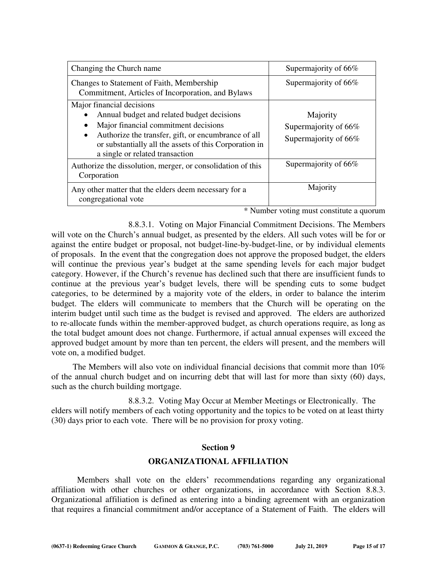| Changing the Church name                                                                                                                                                                                                                                                         | Supermajority of 66%                                     |
|----------------------------------------------------------------------------------------------------------------------------------------------------------------------------------------------------------------------------------------------------------------------------------|----------------------------------------------------------|
| Changes to Statement of Faith, Membership<br>Commitment, Articles of Incorporation, and Bylaws                                                                                                                                                                                   | Supermajority of 66%                                     |
| Major financial decisions<br>Annual budget and related budget decisions<br>Major financial commitment decisions<br>Authorize the transfer, gift, or encumbrance of all<br>$\bullet$<br>or substantially all the assets of this Corporation in<br>a single or related transaction | Majority<br>Supermajority of 66%<br>Supermajority of 66% |
| Authorize the dissolution, merger, or consolidation of this<br>Corporation                                                                                                                                                                                                       | Supermajority of 66%                                     |
| Any other matter that the elders deem necessary for a<br>congregational vote                                                                                                                                                                                                     | Majority                                                 |

\* Number voting must constitute a quorum

 8.8.3.1. Voting on Major Financial Commitment Decisions. The Members will vote on the Church's annual budget, as presented by the elders. All such votes will be for or against the entire budget or proposal, not budget-line-by-budget-line, or by individual elements of proposals. In the event that the congregation does not approve the proposed budget, the elders will continue the previous year's budget at the same spending levels for each major budget category. However, if the Church's revenue has declined such that there are insufficient funds to continue at the previous year's budget levels, there will be spending cuts to some budget categories, to be determined by a majority vote of the elders, in order to balance the interim budget. The elders will communicate to members that the Church will be operating on the interim budget until such time as the budget is revised and approved. The elders are authorized to re-allocate funds within the member-approved budget, as church operations require, as long as the total budget amount does not change. Furthermore, if actual annual expenses will exceed the approved budget amount by more than ten percent, the elders will present, and the members will vote on, a modified budget.

The Members will also vote on individual financial decisions that commit more than  $10\%$ of the annual church budget and on incurring debt that will last for more than sixty (60) days, such as the church building mortgage.

 8.8.3.2. Voting May Occur at Member Meetings or Electronically. The elders will notify members of each voting opportunity and the topics to be voted on at least thirty (30) days prior to each vote. There will be no provision for proxy voting.

#### **Section 9**

# **ORGANIZATIONAL AFFILIATION**

 Members shall vote on the elders' recommendations regarding any organizational affiliation with other churches or other organizations, in accordance with Section 8.8.3. Organizational affiliation is defined as entering into a binding agreement with an organization that requires a financial commitment and/or acceptance of a Statement of Faith. The elders will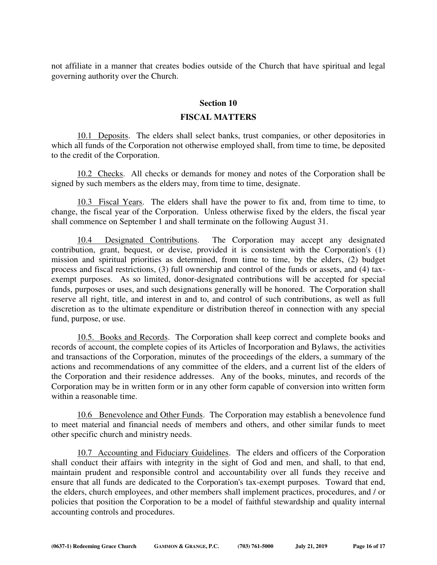not affiliate in a manner that creates bodies outside of the Church that have spiritual and legal governing authority over the Church.

#### **Section 10**

#### **FISCAL MATTERS**

 10.1 Deposits. The elders shall select banks, trust companies, or other depositories in which all funds of the Corporation not otherwise employed shall, from time to time, be deposited to the credit of the Corporation.

 10.2 Checks. All checks or demands for money and notes of the Corporation shall be signed by such members as the elders may, from time to time, designate.

 10.3 Fiscal Years. The elders shall have the power to fix and, from time to time, to change, the fiscal year of the Corporation. Unless otherwise fixed by the elders, the fiscal year shall commence on September 1 and shall terminate on the following August 31.

 10.4 Designated Contributions. The Corporation may accept any designated contribution, grant, bequest, or devise, provided it is consistent with the Corporation's (1) mission and spiritual priorities as determined, from time to time, by the elders, (2) budget process and fiscal restrictions, (3) full ownership and control of the funds or assets, and (4) taxexempt purposes. As so limited, donor-designated contributions will be accepted for special funds, purposes or uses, and such designations generally will be honored. The Corporation shall reserve all right, title, and interest in and to, and control of such contributions, as well as full discretion as to the ultimate expenditure or distribution thereof in connection with any special fund, purpose, or use.

 10.5. Books and Records. The Corporation shall keep correct and complete books and records of account, the complete copies of its Articles of Incorporation and Bylaws, the activities and transactions of the Corporation, minutes of the proceedings of the elders, a summary of the actions and recommendations of any committee of the elders, and a current list of the elders of the Corporation and their residence addresses. Any of the books, minutes, and records of the Corporation may be in written form or in any other form capable of conversion into written form within a reasonable time.

 10.6 Benevolence and Other Funds. The Corporation may establish a benevolence fund to meet material and financial needs of members and others, and other similar funds to meet other specific church and ministry needs.

10.7 Accounting and Fiduciary Guidelines. The elders and officers of the Corporation shall conduct their affairs with integrity in the sight of God and men, and shall, to that end, maintain prudent and responsible control and accountability over all funds they receive and ensure that all funds are dedicated to the Corporation's tax-exempt purposes. Toward that end, the elders, church employees, and other members shall implement practices, procedures, and / or policies that position the Corporation to be a model of faithful stewardship and quality internal accounting controls and procedures.